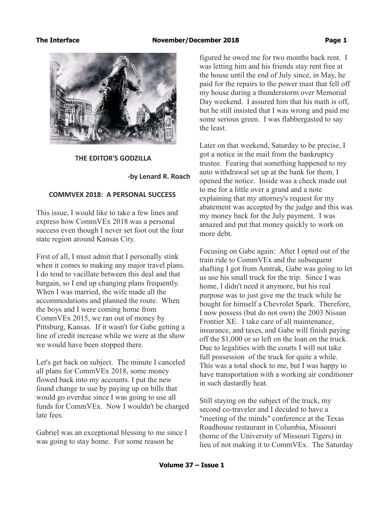### The Interface **November/December 2018 Page 1**



### **THE EDITOR'S GODZILLA**

### **-by Lenard R. Roach**

### **COMMVEX 2018: A PERSONAL SUCCESS**

This issue, I would like to take a few lines and express how CommVEx 2018 was a personal success even though I never set foot out the four state region around Kansas City.

First of all, I must admit that I personally stink when it comes to making any major travel plans. I do tend to vacillate between this deal and that bargain, so I end up changing plans frequently. When I was married, the wife made all the accommodations and planned the route. When the boys and I were coming home from CommVEx 2015, we ran out of money by Pittsburg, Kansas. If it wasn't for Gabe getting a line of credit increase while we were at the show we would have been stopped there.

Let's get back on subject. The minute I canceled all plans for CommVEx 2018, some money flowed back into my accounts. I put the new found change to use by paying up on bills that would go overdue since I was going to use all funds for CommVEx. Now I wouldn't be charged late fees.

Gabriel was an exceptional blessing to me since I was going to stay home. For some reason he

figured he owed me for two months back rent. I was letting him and his friends stay rent free at the house until the end of July since, in May, he paid for the repairs to the power mast that fell off my house during a thunderstorm over Memorial Day weekend. I assured him that his math is off, but he still insisted that I was wrong and paid me some serious green. I was flabbergasted to say the least.

Later on that weekend, Saturday to be precise, I got a notice in the mail from the bankruptcy trustee. Fearing that something happened to my auto withdrawal set up at the bank for them, I opened the notice. Inside was a check made out to me for a little over a grand and a note explaining that my attorney's request for my abatement was accepted by the judge and this was my money back for the July payment. I was amazed and put that money quickly to work on more debt.

Focusing on Gabe again: After I opted out of the train ride to CommVEx and the subsequent shafting I got from Amtrak, Gabe was going to let us use his small truck for the trip. Since I was home, I didn't need it anymore, but his real purpose was to just give me the truck while he bought for himself a Chevrolet Spark. Therefore, I now possess (but do not own) the 2003 Nissan Frontier XE. I take care of all maintenance, insurance, and taxes, and Gabe will finish paying off the \$1,000 or so left on the loan on the truck. Due to legalities with the courts I will not take full possession of the truck for quite a while. This was a total shock to me, but I was happy to have transportation with a working air conditioner in such dastardly heat.

Still staying on the subject of the truck, my second co-traveler and I decided to have a "meeting of the minds" conference at the Texas Roadhouse restaurant in Columbia, Missouri (home of the University of Missouri Tigers) in lieu of not making it to CommVEx. The Saturday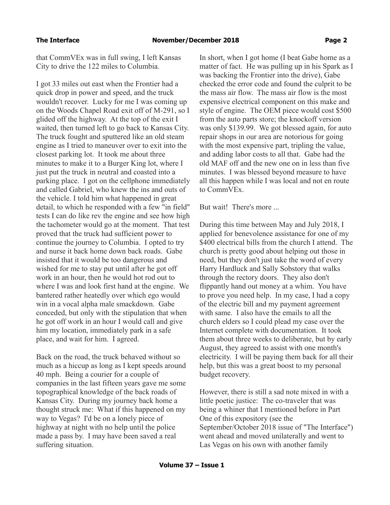that CommVEx was in full swing, I left Kansas City to drive the 122 miles to Columbia.

I got 33 miles out east when the Frontier had a quick drop in power and speed, and the truck wouldn't recover. Lucky for me I was coming up on the Woods Chapel Road exit off of M-291, so I glided off the highway. At the top of the exit I waited, then turned left to go back to Kansas City. The truck fought and sputtered like an old steam engine as I tried to maneuver over to exit into the closest parking lot. It took me about three minutes to make it to a Burger King lot, where I just put the truck in neutral and coasted into a parking place. I got on the cellphone immediately and called Gabriel, who knew the ins and outs of the vehicle. I told him what happened in great detail, to which he responded with a few "in field" tests I can do like rev the engine and see how high the tachometer would go at the moment. That test proved that the truck had sufficient power to continue the journey to Columbia. I opted to try and nurse it back home down back roads. Gabe insisted that it would be too dangerous and wished for me to stay put until after he got off work in an hour, then he would hot rod out to where I was and look first hand at the engine. We bantered rather heatedly over which ego would win in a vocal alpha male smackdown. Gabe conceded, but only with the stipulation that when he got off work in an hour I would call and give him my location, immediately park in a safe place, and wait for him. I agreed.

Back on the road, the truck behaved without so much as a hiccup as long as I kept speeds around 40 mph. Being a courier for a couple of companies in the last fifteen years gave me some topographical knowledge of the back roads of Kansas City. During my journey back home a thought struck me: What if this happened on my way to Vegas? I'd be on a lonely piece of highway at night with no help until the police made a pass by. I may have been saved a real suffering situation.

In short, when I got home (I beat Gabe home as a matter of fact. He was pulling up in his Spark as I was backing the Frontier into the drive), Gabe checked the error code and found the culprit to be the mass air flow. The mass air flow is the most expensive electrical component on this make and style of engine. The OEM piece would cost \$500 from the auto parts store; the knockoff version was only \$139.99. We got blessed again, for auto repair shops in our area are notorious for going with the most expensive part, tripling the value, and adding labor costs to all that. Gabe had the old MAF off and the new one on in less than five minutes. I was blessed beyond measure to have all this happen while I was local and not en route to CommVEx.

But wait! There's more ...

During this time between May and July 2018, I applied for benevolence assistance for one of my \$400 electrical bills from the church I attend. The church is pretty good about helping out those in need, but they don't just take the word of every Harry Hardluck and Sally Sobstory that walks through the rectory doors. They also don't flippantly hand out money at a whim. You have to prove you need help. In my case, I had a copy of the electric bill and my payment agreement with same. I also have the emails to all the church elders so I could plead my case over the Internet complete with documentation. It took them about three weeks to deliberate, but by early August, they agreed to assist with one month's electricity. I will be paying them back for all their help, but this was a great boost to my personal budget recovery.

However, there is still a sad note mixed in with a little poetic justice: The co-traveler that was being a whiner that I mentioned before in Part One of this expository (see the September/October 2018 issue of "The Interface") went ahead and moved unilaterally and went to Las Vegas on his own with another family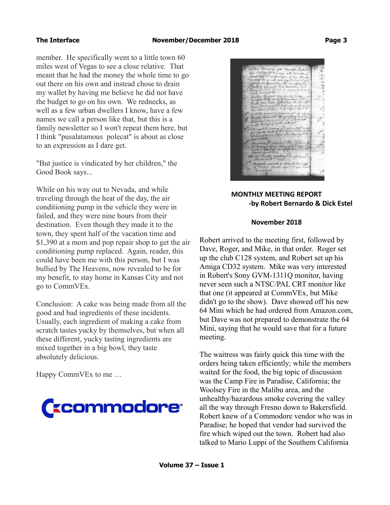member. He specifically went to a little town 60 miles west of Vegas to see a close relative. That meant that he had the money the whole time to go out there on his own and instead chose to drain my wallet by having me believe he did not have the budget to go on his own. We rednecks, as well as a few urban dwellers I know, have a few names we call a person like that, but this is a family newsletter so I won't repeat them here, but I think "pusalatamous polecat" is about as close to an expression as I dare get.

"But justice is vindicated by her children," the Good Book says...

While on his way out to Nevada, and while traveling through the heat of the day, the air conditioning pump in the vehicle they were in failed, and they were nine hours from their destination. Even though they made it to the town, they spent half of the vacation time and \$1,390 at a mom and pop repair shop to get the air conditioning pump replaced. Again, reader, this could have been me with this person, but I was bullied by The Heavens, now revealed to be for my benefit, to stay home in Kansas City and not go to CommVEx.

Conclusion: A cake was being made from all the good and bad ingredients of these incidents. Usually, each ingredient of making a cake from scratch tastes yucky by themselves, but when all these different, yucky tasting ingredients are mixed together in a big bowl, they taste absolutely delicious.

Happy CommVEx to me …





# **MONTHLY MEETING REPORT -by Robert Bernardo & Dick Estel**

### **November 2018**

Robert arrived to the meeting first, followed by Dave, Roger, and Mike, in that order. Roger set up the club C128 system, and Robert set up his Amiga CD32 system. Mike was very interested in Robert's Sony GVM-1311Q monitor, having never seen such a NTSC/PAL CRT monitor like that one (it appeared at CommVEx, but Mike didn't go to the show). Dave showed off his new 64 Mini which he had ordered from Amazon.com, but Dave was not prepared to demonstrate the 64 Mini, saying that he would save that for a future meeting.

The waitress was fairly quick this time with the orders being taken efficiently; while the members waited for the food, the big topic of discussion was the Camp Fire in Paradise, California; the Woolsey Fire in the Malibu area, and the unhealthy/hazardous smoke covering the valley all the way through Fresno down to Bakersfield. Robert knew of a Commodore vendor who was in Paradise; he hoped that vendor had survived the fire which wiped out the town. Robert had also talked to Mario Luppi of the Southern California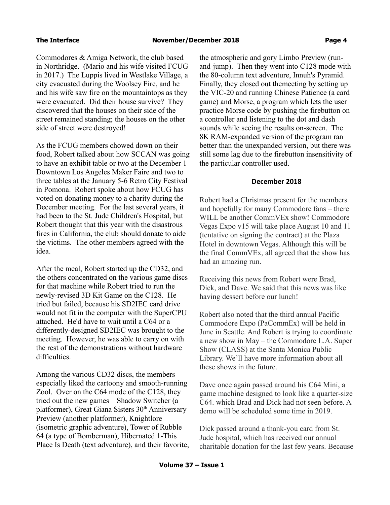Commodores & Amiga Network, the club based in Northridge. (Mario and his wife visited FCUG in 2017.) The Luppis lived in Westlake Village, a city evacuated during the Woolsey Fire, and he and his wife saw fire on the mountaintops as they were evacuated. Did their house survive? They discovered that the houses on their side of the street remained standing; the houses on the other side of street were destroyed!

As the FCUG members chowed down on their food, Robert talked about how SCCAN was going to have an exhibit table or two at the December 1 Downtown Los Angeles Maker Faire and two to three tables at the January 5-6 Retro City Festival in Pomona. Robert spoke about how FCUG has voted on donating money to a charity during the December meeting. For the last several years, it had been to the St. Jude Children's Hospital, but Robert thought that this year with the disastrous fires in California, the club should donate to aide the victims. The other members agreed with the idea.

After the meal, Robert started up the CD32, and the others concentrated on the various game discs for that machine while Robert tried to run the newly-revised 3D Kit Game on the C128. He tried but failed, because his SD2IEC card drive would not fit in the computer with the SuperCPU attached. He'd have to wait until a C64 or a differently-designed SD2IEC was brought to the meeting. However, he was able to carry on with the rest of the demonstrations without hardware difficulties.

Among the various CD32 discs, the members especially liked the cartoony and smooth-running Zool. Over on the C64 mode of the C128, they tried out the new games – Shadow Switcher (a platformer), Great Giana Sisters 30<sup>th</sup> Anniversary Preview (another platformer), Knightlore (isometric graphic adventure), Tower of Rubble 64 (a type of Bomberman), Hibernated 1-This Place Is Death (text adventure), and their favorite, the atmospheric and gory Limbo Preview (runand-jump). Then they went into C128 mode with the 80-column text adventure, Innuh's Pyramid. Finally, they closed out themeeting by setting up the VIC-20 and running Chinese Patience (a card game) and Morse, a program which lets the user practice Morse code by pushing the firebutton on a controller and listening to the dot and dash sounds while seeing the results on-screen. The 8K RAM-expanded version of the program ran better than the unexpanded version, but there was still some lag due to the firebutton insensitivity of the particular controller used.

### **December 2018**

Robert had a Christmas present for the members and hopefully for many Commodore fans – there WILL be another CommVEx show! Commodore Vegas Expo v15 will take place August 10 and 11 (tentative on signing the contract) at the Plaza Hotel in downtown Vegas. Although this will be the final CommVEx, all agreed that the show has had an amazing run.

Receiving this news from Robert were Brad, Dick, and Dave. We said that this news was like having dessert before our lunch!

Robert also noted that the third annual Pacific Commodore Expo (PaCommEx) will be held in June in Seattle. And Robert is trying to coordinate a new show in May – the Commodore L.A. Super Show (CLASS) at the Santa Monica Public Library. We'll have more information about all these shows in the future.

Dave once again passed around his C64 Mini, a game machine designed to look like a quarter-size C64. which Brad and Dick had not seen before. A demo will be scheduled some time in 2019.

Dick passed around a thank-you card from St. Jude hospital, which has received our annual charitable donation for the last few years. Because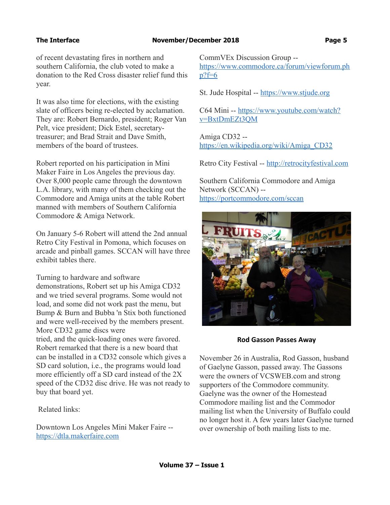### The Interface **November/December 2018 Page 5**

of recent devastating fires in northern and southern California, the club voted to make a donation to the Red Cross disaster relief fund this year.

It was also time for elections, with the existing slate of officers being re-elected by acclamation. They are: Robert Bernardo, president; Roger Van Pelt, vice president; Dick Estel, secretarytreasurer; and Brad Strait and Dave Smith, members of the board of trustees.

Robert reported on his participation in Mini Maker Faire in Los Angeles the previous day. Over 8,000 people came through the downtown L.A. library, with many of them checking out the Commodore and Amiga units at the table Robert manned with members of Southern California Commodore & Amiga Network.

On January 5-6 Robert will attend the 2nd annual Retro City Festival in Pomona, which focuses on arcade and pinball games. SCCAN will have three exhibit tables there.

Turning to hardware and software

demonstrations, Robert set up his Amiga CD32 and we tried several programs. Some would not load, and some did not work past the menu, but Bump & Burn and Bubba 'n Stix both functioned and were well-received by the members present. More CD32 game discs were tried, and the quick-loading ones were favored. Robert remarked that there is a new board that can be installed in a CD32 console which gives a SD card solution, i.e., the programs would load more efficiently off a SD card instead of the 2X speed of the CD32 disc drive. He was not ready to buy that board yet.

Related links:

Downtown Los Angeles Mini Maker Faire - [https://dtla.makerfaire.com](https://dtla.makerfaire.com/)

CommVEx Discussion Group - [https://www.commodore.ca/forum/viewforum.ph](https://www.commodore.ca/forum/viewforum.php?f=6)  $p?f=6$ 

St. Jude Hospital -- [https://www.stjude.org](https://www.stjude.org/)

C64 Mini -- [https://www.youtube.com/watch?](https://www.youtube.com/watch?v=BxtDmEZt3QM) [v=BxtDmEZt3QM](https://www.youtube.com/watch?v=BxtDmEZt3QM)

Amiga CD32 - [https://en.wikipedia.org/wiki/Amiga\\_CD32](https://en.wikipedia.org/wiki/Amiga_CD32)

Retro City Festival -- [http://retrocityfestival.com](http://retrocityfestival.com/)

Southern California Commodore and Amiga Network (SCCAN) - <https://portcommodore.com/sccan>



**Rod Gasson Passes Away**

November 26 in Australia, Rod Gasson, husband of Gaelyne Gasson, passed away. The Gassons were the owners of VCSWEB.com and strong supporters of the Commodore community. Gaelyne was the owner of the Homestead Commodore mailing list and the Commodor mailing list when the University of Buffalo could no longer host it. A few years later Gaelyne turned over ownership of both mailing lists to me.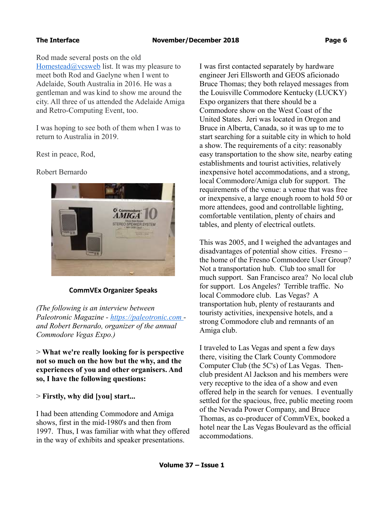Rod made several posts on the old Homestead $@$ vcsweb list. It was my pleasure to meet both Rod and Gaelyne when I went to Adelaide, South Australia in 2016. He was a gentleman and was kind to show me around the city. All three of us attended the Adelaide Amiga and Retro-Computing Event, too.

I was hoping to see both of them when I was to return to Australia in 2019.

Rest in peace, Rod,

Robert Bernardo



# **CommVEx Organizer Speaks**

*(The following is an interview between Paleotronic Magazine - [https://paleotronic.com](https://paleotronic.com/)  and Robert Bernardo, organizer of the annual Commodore Vegas Expo.)*

> **What we're really looking for is perspective not so much on the how but the why, and the experiences of you and other organisers. And so, I have the following questions:**

> **Firstly, why did [you] start...**

I had been attending Commodore and Amiga shows, first in the mid-1980's and then from 1997. Thus, I was familiar with what they offered in the way of exhibits and speaker presentations.

I was first contacted separately by hardware engineer Jeri Ellsworth and GEOS aficionado Bruce Thomas; they both relayed messages from the Louisville Commodore Kentucky (LUCKY) Expo organizers that there should be a Commodore show on the West Coast of the United States. Jeri was located in Oregon and Bruce in Alberta, Canada, so it was up to me to start searching for a suitable city in which to hold a show. The requirements of a city: reasonably easy transportation to the show site, nearby eating establishments and tourist activities, relatively inexpensive hotel accommodations, and a strong, local Commodore/Amiga club for support. The requirements of the venue: a venue that was free or inexpensive, a large enough room to hold 50 or more attendees, good and controllable lighting, comfortable ventilation, plenty of chairs and tables, and plenty of electrical outlets.

This was 2005, and I weighed the advantages and disadvantages of potential show cities. Fresno – the home of the Fresno Commodore User Group? Not a transportation hub. Club too small for much support. San Francisco area? No local club for support. Los Angeles? Terrible traffic. No local Commodore club. Las Vegas? A transportation hub, plenty of restaurants and touristy activities, inexpensive hotels, and a strong Commodore club and remnants of an Amiga club.

I traveled to Las Vegas and spent a few days there, visiting the Clark County Commodore Computer Club (the 5C's) of Las Vegas. Thenclub president Al Jackson and his members were very receptive to the idea of a show and even offered help in the search for venues. I eventually settled for the spacious, free, public meeting room of the Nevada Power Company, and Bruce Thomas, as co-producer of CommVEx, booked a hotel near the Las Vegas Boulevard as the official accommodations.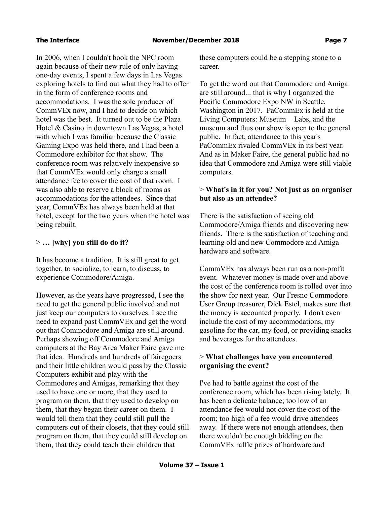In 2006, when I couldn't book the NPC room again because of their new rule of only having one-day events, I spent a few days in Las Vegas exploring hotels to find out what they had to offer in the form of conference rooms and accommodations. I was the sole producer of CommVEx now, and I had to decide on which hotel was the best. It turned out to be the Plaza Hotel & Casino in downtown Las Vegas, a hotel with which I was familiar because the Classic Gaming Expo was held there, and I had been a Commodore exhibitor for that show. The conference room was relatively inexpensive so that CommVEx would only charge a small attendance fee to cover the cost of that room. I was also able to reserve a block of rooms as accommodations for the attendees. Since that year, CommVEx has always been held at that hotel, except for the two years when the hotel was being rebuilt.

# > **… [why] you still do do it?**

It has become a tradition. It is still great to get together, to socialize, to learn, to discuss, to experience Commodore/Amiga.

However, as the years have progressed, I see the need to get the general public involved and not just keep our computers to ourselves. I see the need to expand past CommVEx and get the word out that Commodore and Amiga are still around. Perhaps showing off Commodore and Amiga computers at the Bay Area Maker Faire gave me that idea. Hundreds and hundreds of fairegoers and their little children would pass by the Classic Computers exhibit and play with the Commodores and Amigas, remarking that they used to have one or more, that they used to program on them, that they used to develop on them, that they began their career on them. I would tell them that they could still pull the computers out of their closets, that they could still program on them, that they could still develop on them, that they could teach their children that

these computers could be a stepping stone to a career.

To get the word out that Commodore and Amiga are still around... that is why I organized the Pacific Commodore Expo NW in Seattle, Washington in 2017. PaCommEx is held at the Living Computers: Museum + Labs, and the museum and thus our show is open to the general public. In fact, attendance to this year's PaCommEx rivaled CommVEx in its best year. And as in Maker Faire, the general public had no idea that Commodore and Amiga were still viable computers.

# > **What's in it for you? Not just as an organiser but also as an attendee?**

There is the satisfaction of seeing old Commodore/Amiga friends and discovering new friends. There is the satisfaction of teaching and learning old and new Commodore and Amiga hardware and software.

CommVEx has always been run as a non-profit event. Whatever money is made over and above the cost of the conference room is rolled over into the show for next year. Our Fresno Commodore User Group treasurer, Dick Estel, makes sure that the money is accounted properly. I don't even include the cost of my accommodations, my gasoline for the car, my food, or providing snacks and beverages for the attendees.

# > **What challenges have you encountered organising the event?**

I've had to battle against the cost of the conference room, which has been rising lately. It has been a delicate balance; too low of an attendance fee would not cover the cost of the room; too high of a fee would drive attendees away. If there were not enough attendees, then there wouldn't be enough bidding on the CommVEx raffle prizes of hardware and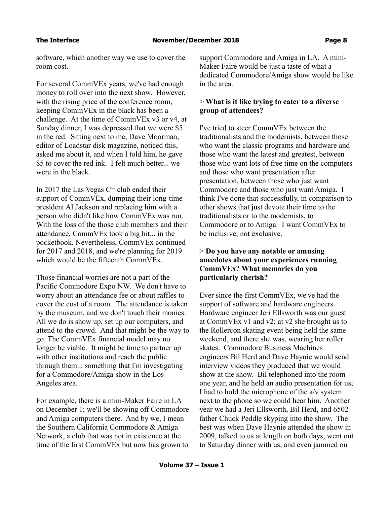software, which another way we use to cover the room cost.

For several CommVEx years, we've had enough money to roll over into the next show. However, with the rising price of the conference room, keeping CommVEx in the black has been a challenge. At the time of CommVEx v3 or v4, at Sunday dinner, I was depressed that we were \$5 in the red. Sitting next to me, Dave Moorman, editor of Loadstar disk magazine, noticed this, asked me about it, and when I told him, he gave \$5 to cover the red ink. I felt much better... we were in the black.

In 2017 the Las Vegas  $C =$  club ended their support of CommVEx, dumping their long-time president Al Jackson and replacing him with a person who didn't like how CommVEx was run. With the loss of the those club members and their attendance, CommVEx took a big hit... in the pocketbook. Nevertheless, CommVEx continued for 2017 and 2018, and we're planning for 2019 which would be the fifteenth CommVEx.

Those financial worries are not a part of the Pacific Commodore Expo NW. We don't have to worry about an attendance fee or about raffles to cover the cost of a room. The attendance is taken by the museum, and we don't touch their monies. All we do is show up, set up our computers, and attend to the crowd. And that might be the way to go. The CommVEx financial model may no longer be viable. It might be time to partner up with other institutions and reach the public through them... something that I'm investigating for a Commodore/Amiga show in the Los Angeles area.

For example, there is a mini-Maker Faire in LA on December 1; we'll be showing off Commodore and Amiga computers there. And by we, I mean the Southern California Commodore & Amiga Network, a club that was not in existence at the time of the first CommVEx but now has grown to

support Commodore and Amiga in LA. A mini-Maker Faire would be just a taste of what a dedicated Commodore/Amiga show would be like in the area.

# > **What is it like trying to cater to a diverse group of attendees?**

I've tried to steer CommVEx between the traditionalists and the modernists, between those who want the classic programs and hardware and those who want the latest and greatest, between those who want lots of free time on the computers and those who want presentation after presentation, between those who just want Commodore and those who just want Amiga. I think I've done that successfully, in comparison to other shows that just devote their time to the traditionalists or to the modernists, to Commodore or to Amiga. I want CommVEx to be inclusive, not exclusive.

# > **Do you have any notable or amusing anecdotes about your experiences running CommVEx? What memories do you particularly cherish?**

Ever since the first CommVEx, we've had the support of software and hardware engineers. Hardware engineer Jeri Ellsworth was our guest at CommVEx v1 and v2; at v2 she brought us to the Rollercon skating event being held the same weekend, and there she was, wearing her roller skates. Commodore Business Machines engineers Bil Herd and Dave Haynie would send interview videos they produced that we would show at the show. Bil telephoned into the room one year, and he held an audio presentation for us; I had to hold the microphone of the a/v system next to the phone so we could hear him. Another year we had a Jeri Ellsworth, Bil Herd, and 6502 father Chuck Peddle skyping into the show. The best was when Dave Haynie attended the show in 2009, talked to us at length on both days, went out to Saturday dinner with us, and even jammed on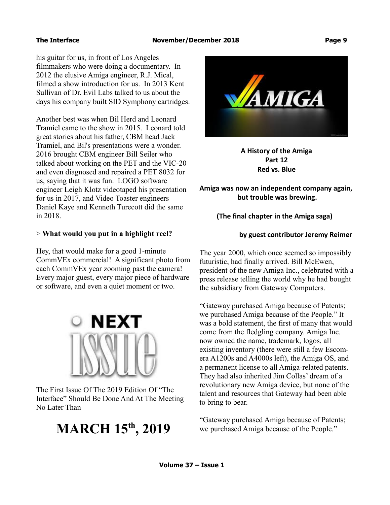The Interface **November/December 2018 Page 9** 

his guitar for us, in front of Los Angeles filmmakers who were doing a documentary. In 2012 the elusive Amiga engineer, R.J. Mical, filmed a show introduction for us. In 2013 Kent Sullivan of Dr. Evil Labs talked to us about the days his company built SID Symphony cartridges.

Another best was when Bil Herd and Leonard Tramiel came to the show in 2015. Leonard told great stories about his father, CBM head Jack Tramiel, and Bil's presentations were a wonder. 2016 brought CBM engineer Bill Seiler who talked about working on the PET and the VIC-20 and even diagnosed and repaired a PET 8032 for us, saying that it was fun. LOGO software engineer Leigh Klotz videotaped his presentation for us in 2017, and Video Toaster engineers Daniel Kaye and Kenneth Turecott did the same in 2018.

# > **What would you put in a highlight reel?**

Hey, that would make for a good 1-minute CommVEx commercial! A significant photo from each CommVEx year zooming past the camera! Every major guest, every major piece of hardware or software, and even a quiet moment or two.



The First Issue Of The 2019 Edition Of "The Interface" Should Be Done And At The Meeting No Later Than –

# **MARCH 15th, 2019**



**A History of the Amiga Part 12 Red vs. Blue**

**Amiga was now an independent company again, but trouble was brewing.**

# **(The final chapter in the Amiga saga)**

# **by guest contributor Jeremy Reimer**

The year 2000, which once seemed so impossibly futuristic, had finally arrived. Bill McEwen, president of the new Amiga Inc., celebrated with a press release telling the world why he had bought the subsidiary from Gateway Computers.

"Gateway purchased Amiga because of Patents; we purchased Amiga because of the People." It was a bold statement, the first of many that would come from the fledgling company. Amiga Inc. now owned the name, trademark, logos, all existing inventory (there were still a few Escomera A1200s and A4000s left), the Amiga OS, and a permanent license to all Amiga-related patents. They had also inherited Jim Collas' dream of a revolutionary new Amiga device, but none of the talent and resources that Gateway had been able to bring to bear.

"Gateway purchased Amiga because of Patents; we purchased Amiga because of the People."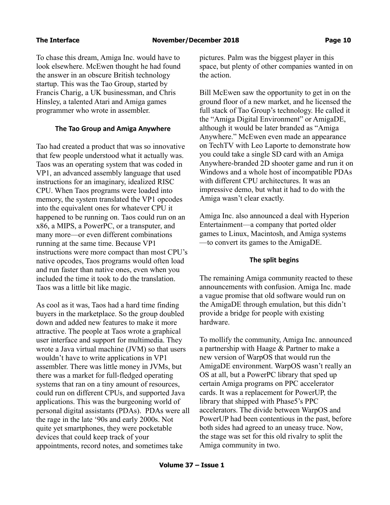To chase this dream, Amiga Inc. would have to look elsewhere. McEwen thought he had found the answer in an obscure British technology startup. This was the Tao Group, started by Francis Charig, a UK businessman, and Chris Hinsley, a talented Atari and Amiga games programmer who wrote in assembler.

# **The Tao Group and Amiga Anywhere**

Tao had created a product that was so innovative that few people understood what it actually was. Taos was an operating system that was coded in VP1, an advanced assembly language that used instructions for an imaginary, idealized RISC CPU. When Taos programs were loaded into memory, the system translated the VP1 opcodes into the equivalent ones for whatever CPU it happened to be running on. Taos could run on an x86, a MIPS, a PowerPC, or a transputer, and many more—or even different combinations running at the same time. Because VP1 instructions were more compact than most CPU's native opcodes, Taos programs would often load and run faster than native ones, even when you included the time it took to do the translation. Taos was a little bit like magic.

As cool as it was, Taos had a hard time finding buyers in the marketplace. So the group doubled down and added new features to make it more attractive. The people at Taos wrote a graphical user interface and support for multimedia. They wrote a Java virtual machine (JVM) so that users wouldn't have to write applications in VP1 assembler. There was little money in JVMs, but there was a market for full-fledged operating systems that ran on a tiny amount of resources, could run on different CPUs, and supported Java applications. This was the burgeoning world of personal digital assistants (PDAs). PDAs were all the rage in the late '90s and early 2000s. Not quite yet smartphones, they were pocketable devices that could keep track of your appointments, record notes, and sometimes take

pictures. Palm was the biggest player in this space, but plenty of other companies wanted in on the action.

Bill McEwen saw the opportunity to get in on the ground floor of a new market, and he licensed the full stack of Tao Group's technology. He called it the "Amiga Digital Environment" or AmigaDE, although it would be later branded as "Amiga Anywhere." McEwen even made an appearance on TechTV with Leo Laporte to demonstrate how you could take a single SD card with an Amiga Anywhere-branded 2D shooter game and run it on Windows and a whole host of incompatible PDAs with different CPU architectures. It was an impressive demo, but what it had to do with the Amiga wasn't clear exactly.

Amiga Inc. also announced a deal with Hyperion Entertainment—a company that ported older games to Linux, Macintosh, and Amiga systems —to convert its games to the AmigaDE.

# **The split begins**

The remaining Amiga community reacted to these announcements with confusion. Amiga Inc. made a vague promise that old software would run on the AmigaDE through emulation, but this didn't provide a bridge for people with existing hardware.

To mollify the community, Amiga Inc. announced a partnership with Haage & Partner to make a new version of WarpOS that would run the AmigaDE environment. WarpOS wasn't really an OS at all, but a PowerPC library that sped up certain Amiga programs on PPC accelerator cards. It was a replacement for PowerUP, the library that shipped with Phase5's PPC accelerators. The divide between WarpOS and PowerUP had been contentious in the past, before both sides had agreed to an uneasy truce. Now, the stage was set for this old rivalry to split the Amiga community in two.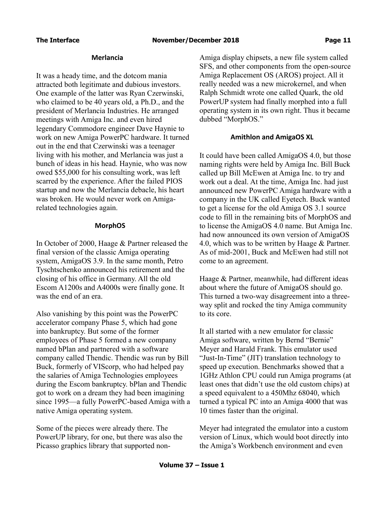### **Merlancia**

It was a heady time, and the dotcom mania attracted both legitimate and dubious investors. One example of the latter was Ryan Czerwinski, who claimed to be 40 years old, a Ph.D., and the president of Merlancia Industries. He arranged meetings with Amiga Inc. and even hired legendary Commodore engineer Dave Haynie to work on new Amiga PowerPC hardware. It turned out in the end that Czerwinski was a teenager living with his mother, and Merlancia was just a bunch of ideas in his head. Haynie, who was now owed \$55,000 for his consulting work, was left scarred by the experience. After the failed PIOS startup and now the Merlancia debacle, his heart was broken. He would never work on Amigarelated technologies again.

# **MorphOS**

In October of 2000, Haage & Partner released the final version of the classic Amiga operating system, AmigaOS 3.9. In the same month, Petro Tyschtschenko announced his retirement and the closing of his office in Germany. All the old Escom A1200s and A4000s were finally gone. It was the end of an era.

Also vanishing by this point was the PowerPC accelerator company Phase 5, which had gone into bankruptcy. But some of the former employees of Phase 5 formed a new company named bPlan and partnered with a software company called Thendic. Thendic was run by Bill Buck, formerly of VIScorp, who had helped pay the salaries of Amiga Technologies employees during the Escom bankruptcy. bPlan and Thendic got to work on a dream they had been imagining since 1995—a fully PowerPC-based Amiga with a native Amiga operating system.

Some of the pieces were already there. The PowerUP library, for one, but there was also the Picasso graphics library that supported nonAmiga display chipsets, a new file system called SFS, and other components from the open-source Amiga Replacement OS (AROS) project. All it really needed was a new microkernel, and when Ralph Schmidt wrote one called Quark, the old PowerUP system had finally morphed into a full operating system in its own right. Thus it became dubbed "MorphOS."

# **Amithlon and AmigaOS XL**

It could have been called AmigaOS 4.0, but those naming rights were held by Amiga Inc. Bill Buck called up Bill McEwen at Amiga Inc. to try and work out a deal. At the time, Amiga Inc. had just announced new PowerPC Amiga hardware with a company in the UK called Eyetech. Buck wanted to get a license for the old Amiga OS 3.1 source code to fill in the remaining bits of MorphOS and to license the AmigaOS 4.0 name. But Amiga Inc. had now announced its own version of AmigaOS 4.0, which was to be written by Haage & Partner. As of mid-2001, Buck and McEwen had still not come to an agreement.

Haage & Partner, meanwhile, had different ideas about where the future of AmigaOS should go. This turned a two-way disagreement into a threeway split and rocked the tiny Amiga community to its core.

It all started with a new emulator for classic Amiga software, written by Bernd "Bernie" Meyer and Harald Frank. This emulator used "Just-In-Time" (JIT) translation technology to speed up execution. Benchmarks showed that a 1GHz Athlon CPU could run Amiga programs (at least ones that didn't use the old custom chips) at a speed equivalent to a 450Mhz 68040, which turned a typical PC into an Amiga 4000 that was 10 times faster than the original.

Meyer had integrated the emulator into a custom version of Linux, which would boot directly into the Amiga's Workbench environment and even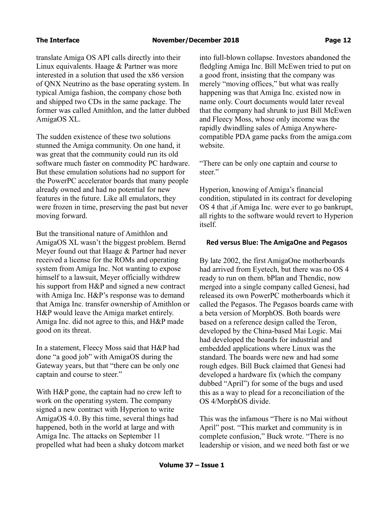translate Amiga OS API calls directly into their Linux equivalents. Haage & Partner was more interested in a solution that used the x86 version of QNX Neutrino as the base operating system. In typical Amiga fashion, the company chose both and shipped two CDs in the same package. The former was called Amithlon, and the latter dubbed AmigaOS XL.

The sudden existence of these two solutions stunned the Amiga community. On one hand, it was great that the community could run its old software much faster on commodity PC hardware. But these emulation solutions had no support for the PowerPC accelerator boards that many people already owned and had no potential for new features in the future. Like all emulators, they were frozen in time, preserving the past but never moving forward.

But the transitional nature of Amithlon and AmigaOS XL wasn't the biggest problem. Bernd Meyer found out that Haage & Partner had never received a license for the ROMs and operating system from Amiga Inc. Not wanting to expose himself to a lawsuit, Meyer officially withdrew his support from H&P and signed a new contract with Amiga Inc. H&P's response was to demand that Amiga Inc. transfer ownership of Amithlon or H&P would leave the Amiga market entirely. Amiga Inc. did not agree to this, and H&P made good on its threat.

In a statement, Fleecy Moss said that H&P had done "a good job" with AmigaOS during the Gateway years, but that "there can be only one captain and course to steer."

With H&P gone, the captain had no crew left to work on the operating system. The company signed a new contract with Hyperion to write AmigaOS 4.0. By this time, several things had happened, both in the world at large and with Amiga Inc. The attacks on September 11 propelled what had been a shaky dotcom market into full-blown collapse. Investors abandoned the fledgling Amiga Inc. Bill McEwen tried to put on a good front, insisting that the company was merely "moving offices," but what was really happening was that Amiga Inc. existed now in name only. Court documents would later reveal that the company had shrunk to just Bill McEwen and Fleecy Moss, whose only income was the rapidly dwindling sales of Amiga Anywherecompatible PDA game packs from the amiga.com website.

"There can be only one captain and course to steer."

Hyperion, knowing of Amiga's financial condition, stipulated in its contract for developing OS 4 that ,if Amiga Inc. were ever to go bankrupt, all rights to the software would revert to Hyperion itself.

### **Red versus Blue: The AmigaOne and Pegasos**

By late 2002, the first AmigaOne motherboards had arrived from Eyetech, but there was no OS 4 ready to run on them. bPlan and Thendic, now merged into a single company called Genesi, had released its own PowerPC motherboards which it called the Pegasos. The Pegasos boards came with a beta version of MorphOS. Both boards were based on a reference design called the Teron, developed by the China-based Mai Logic. Mai had developed the boards for industrial and embedded applications where Linux was the standard. The boards were new and had some rough edges. Bill Buck claimed that Genesi had developed a hardware fix (which the company dubbed "April") for some of the bugs and used this as a way to plead for a reconciliation of the OS 4/MorphOS divide.

This was the infamous "There is no Mai without April" post. "This market and community is in complete confusion," Buck wrote. "There is no leadership or vision, and we need both fast or we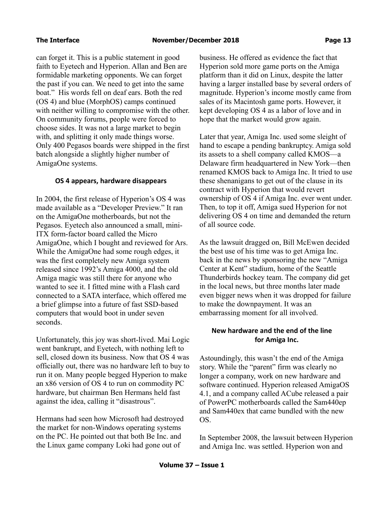can forget it. This is a public statement in good faith to Eyetech and Hyperion. Allan and Ben are formidable marketing opponents. We can forget the past if you can. We need to get into the same boat." His words fell on deaf ears. Both the red (OS 4) and blue (MorphOS) camps continued with neither willing to compromise with the other. On community forums, people were forced to choose sides. It was not a large market to begin with, and splitting it only made things worse. Only 400 Pegasos boards were shipped in the first batch alongside a slightly higher number of AmigaOne systems.

# **OS 4 appears, hardware disappears**

In 2004, the first release of Hyperion's OS 4 was made available as a "Developer Preview." It ran on the AmigaOne motherboards, but not the Pegasos. Eyetech also announced a small, mini-ITX form-factor board called the Micro AmigaOne, which I bought and reviewed for Ars. While the AmigaOne had some rough edges, it was the first completely new Amiga system released since 1992's Amiga 4000, and the old Amiga magic was still there for anyone who wanted to see it. I fitted mine with a Flash card connected to a SATA interface, which offered me a brief glimpse into a future of fast SSD-based computers that would boot in under seven seconds.

Unfortunately, this joy was short-lived. Mai Logic went bankrupt, and Eyetech, with nothing left to sell, closed down its business. Now that OS 4 was officially out, there was no hardware left to buy to run it on. Many people begged Hyperion to make an x86 version of OS 4 to run on commodity PC hardware, but chairman Ben Hermans held fast against the idea, calling it "disastrous".

Hermans had seen how Microsoft had destroyed the market for non-Windows operating systems on the PC. He pointed out that both Be Inc. and the Linux game company Loki had gone out of

business. He offered as evidence the fact that Hyperion sold more game ports on the Amiga platform than it did on Linux, despite the latter having a larger installed base by several orders of magnitude. Hyperion's income mostly came from sales of its Macintosh game ports. However, it kept developing OS 4 as a labor of love and in hope that the market would grow again.

Later that year, Amiga Inc. used some sleight of hand to escape a pending bankruptcy. Amiga sold its assets to a shell company called KMOS—a Delaware firm headquartered in New York—then renamed KMOS back to Amiga Inc. It tried to use these shenanigans to get out of the clause in its contract with Hyperion that would revert ownership of OS 4 if Amiga Inc. ever went under. Then, to top it off, Amiga sued Hyperion for not delivering OS 4 on time and demanded the return of all source code.

As the lawsuit dragged on, Bill McEwen decided the best use of his time was to get Amiga Inc. back in the news by sponsoring the new "Amiga Center at Kent" stadium, home of the Seattle Thunderbirds hockey team. The company did get in the local news, but three months later made even bigger news when it was dropped for failure to make the downpayment. It was an embarrassing moment for all involved.

# **New hardware and the end of the line for Amiga Inc.**

Astoundingly, this wasn't the end of the Amiga story. While the "parent" firm was clearly no longer a company, work on new hardware and software continued. Hyperion released AmigaOS 4.1, and a company called ACube released a pair of PowerPC motherboards called the Sam440ep and Sam440ex that came bundled with the new OS.

In September 2008, the lawsuit between Hyperion and Amiga Inc. was settled. Hyperion won and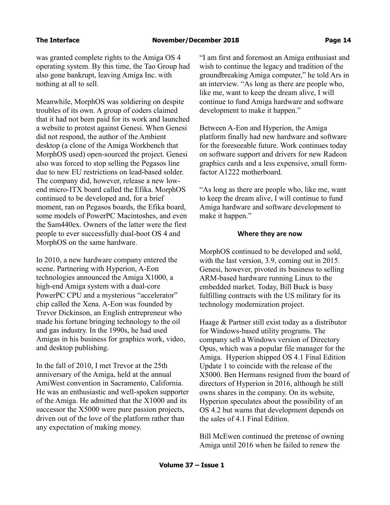was granted complete rights to the Amiga OS 4 operating system. By this time, the Tao Group had also gone bankrupt, leaving Amiga Inc. with nothing at all to sell.

Meanwhile, MorphOS was soldiering on despite troubles of its own. A group of coders claimed that it had not been paid for its work and launched a website to protest against Genesi. When Genesi did not respond, the author of the Ambient desktop (a clone of the Amiga Workbench that MorphOS used) open-sourced the project. Genesi also was forced to stop selling the Pegasos line due to new EU restrictions on lead-based solder. The company did, however, release a new lowend micro-ITX board called the Efika. MorphOS continued to be developed and, for a brief moment, ran on Pegasos boards, the Efika board, some models of PowerPC Macintoshes, and even the Sam440ex. Owners of the latter were the first people to ever successfully dual-boot OS 4 and MorphOS on the same hardware.

In 2010, a new hardware company entered the scene. Partnering with Hyperion, A-Eon technologies announced the Amiga X1000, a high-end Amiga system with a dual-core PowerPC CPU and a mysterious "accelerator" chip called the Xena. A-Eon was founded by Trevor Dickinson, an English entrepreneur who made his fortune bringing technology to the oil and gas industry. In the 1990s, he had used Amigas in his business for graphics work, video, and desktop publishing.

In the fall of 2010, I met Trevor at the 25th anniversary of the Amiga, held at the annual AmiWest convention in Sacramento, California. He was an enthusiastic and well-spoken supporter of the Amiga. He admitted that the X1000 and its successor the X5000 were pure passion projects, driven out of the love of the platform rather than any expectation of making money.

"I am first and foremost an Amiga enthusiast and wish to continue the legacy and tradition of the groundbreaking Amiga computer," he told Ars in an interview. "As long as there are people who, like me, want to keep the dream alive, I will continue to fund Amiga hardware and software development to make it happen."

Between A-Eon and Hyperion, the Amiga platform finally had new hardware and software for the foreseeable future. Work continues today on software support and drivers for new Radeon graphics cards and a less expensive, small formfactor A1222 motherboard.

"As long as there are people who, like me, want to keep the dream alive, I will continue to fund Amiga hardware and software development to make it happen."

### **Where they are now**

MorphOS continued to be developed and sold, with the last version, 3.9, coming out in 2015. Genesi, however, pivoted its business to selling ARM-based hardware running Linux to the embedded market. Today, Bill Buck is busy fulfilling contracts with the US military for its technology modernization project.

Haage & Partner still exist today as a distributor for Windows-based utility programs. The company sell a Windows version of Directory Opus, which was a popular file manager for the Amiga. Hyperion shipped OS 4.1 Final Edition Update 1 to coincide with the release of the X5000. Ben Hermans resigned from the board of directors of Hyperion in 2016, although he still owns shares in the company. On its website, Hyperion speculates about the possibility of an OS 4.2 but warns that development depends on the sales of 4.1 Final Edition.

Bill McEwen continued the pretense of owning Amiga until 2016 when he failed to renew the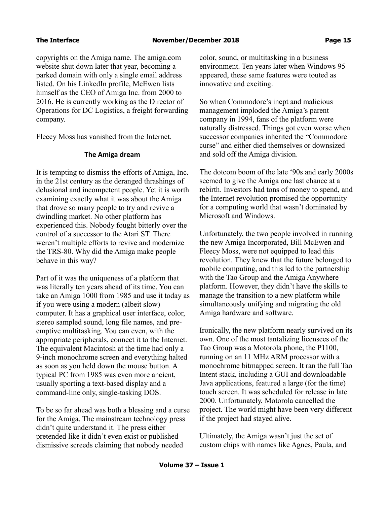copyrights on the Amiga name. The amiga.com website shut down later that year, becoming a parked domain with only a single email address listed. On his LinkedIn profile, McEwen lists himself as the CEO of Amiga Inc. from 2000 to 2016. He is currently working as the Director of Operations for DC Logistics, a freight forwarding company.

Fleecy Moss has vanished from the Internet.

# **The Amiga dream**

It is tempting to dismiss the efforts of Amiga, Inc. in the 21st century as the deranged thrashings of delusional and incompetent people. Yet it is worth examining exactly what it was about the Amiga that drove so many people to try and revive a dwindling market. No other platform has experienced this. Nobody fought bitterly over the control of a successor to the Atari ST. There weren't multiple efforts to revive and modernize the TRS-80. Why did the Amiga make people behave in this way?

Part of it was the uniqueness of a platform that was literally ten years ahead of its time. You can take an Amiga 1000 from 1985 and use it today as if you were using a modern (albeit slow) computer. It has a graphical user interface, color, stereo sampled sound, long file names, and preemptive multitasking. You can even, with the appropriate peripherals, connect it to the Internet. The equivalent Macintosh at the time had only a 9-inch monochrome screen and everything halted as soon as you held down the mouse button. A typical PC from 1985 was even more ancient, usually sporting a text-based display and a command-line only, single-tasking DOS.

To be so far ahead was both a blessing and a curse for the Amiga. The mainstream technology press didn't quite understand it. The press either pretended like it didn't even exist or published dismissive screeds claiming that nobody needed

color, sound, or multitasking in a business environment. Ten years later when Windows 95 appeared, these same features were touted as innovative and exciting.

So when Commodore's inept and malicious management imploded the Amiga's parent company in 1994, fans of the platform were naturally distressed. Things got even worse when successor companies inherited the "Commodore curse" and either died themselves or downsized and sold off the Amiga division.

The dotcom boom of the late '90s and early 2000s seemed to give the Amiga one last chance at a rebirth. Investors had tons of money to spend, and the Internet revolution promised the opportunity for a computing world that wasn't dominated by Microsoft and Windows.

Unfortunately, the two people involved in running the new Amiga Incorporated, Bill McEwen and Fleecy Moss, were not equipped to lead this revolution. They knew that the future belonged to mobile computing, and this led to the partnership with the Tao Group and the Amiga Anywhere platform. However, they didn't have the skills to manage the transition to a new platform while simultaneously unifying and migrating the old Amiga hardware and software.

Ironically, the new platform nearly survived on its own. One of the most tantalizing licensees of the Tao Group was a Motorola phone, the P1100, running on an 11 MHz ARM processor with a monochrome bitmapped screen. It ran the full Tao Intent stack, including a GUI and downloadable Java applications, featured a large (for the time) touch screen. It was scheduled for release in late 2000. Unfortunately, Motorola cancelled the project. The world might have been very different if the project had stayed alive.

Ultimately, the Amiga wasn't just the set of custom chips with names like Agnes, Paula, and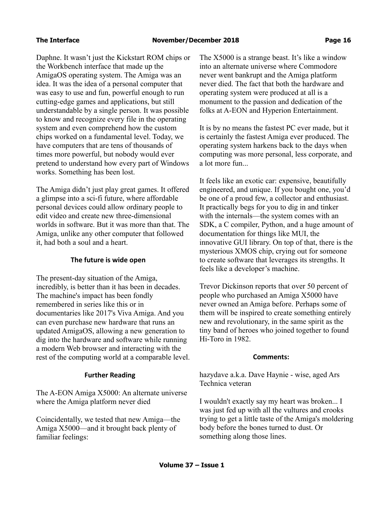Daphne. It wasn't just the Kickstart ROM chips or the Workbench interface that made up the AmigaOS operating system. The Amiga was an idea. It was the idea of a personal computer that was easy to use and fun, powerful enough to run cutting-edge games and applications, but still understandable by a single person. It was possible to know and recognize every file in the operating system and even comprehend how the custom chips worked on a fundamental level. Today, we have computers that are tens of thousands of times more powerful, but nobody would ever pretend to understand how every part of Windows works. Something has been lost.

The Amiga didn't just play great games. It offered a glimpse into a sci-fi future, where affordable personal devices could allow ordinary people to edit video and create new three-dimensional worlds in software. But it was more than that. The Amiga, unlike any other computer that followed it, had both a soul and a heart.

# **The future is wide open**

The present-day situation of the Amiga, incredibly, is better than it has been in decades. The machine's impact has been fondly remembered in series like this or in documentaries like 2017's Viva Amiga. And you can even purchase new hardware that runs an updated AmigaOS, allowing a new generation to dig into the hardware and software while running a modern Web browser and interacting with the rest of the computing world at a comparable level.

# **Further Reading**

The A-EON Amiga X5000: An alternate universe where the Amiga platform never died

Coincidentally, we tested that new Amiga—the Amiga X5000—and it brought back plenty of familiar feelings:

The X5000 is a strange beast. It's like a window into an alternate universe where Commodore never went bankrupt and the Amiga platform never died. The fact that both the hardware and operating system were produced at all is a monument to the passion and dedication of the folks at A-EON and Hyperion Entertainment.

It is by no means the fastest PC ever made, but it is certainly the fastest Amiga ever produced. The operating system harkens back to the days when computing was more personal, less corporate, and a lot more fun...

It feels like an exotic car: expensive, beautifully engineered, and unique. If you bought one, you'd be one of a proud few, a collector and enthusiast. It practically begs for you to dig in and tinker with the internals—the system comes with an SDK, a C compiler, Python, and a huge amount of documentation for things like MUI, the innovative GUI library. On top of that, there is the mysterious XMOS chip, crying out for someone to create software that leverages its strengths. It feels like a developer's machine.

Trevor Dickinson reports that over 50 percent of people who purchased an Amiga X5000 have never owned an Amiga before. Perhaps some of them will be inspired to create something entirely new and revolutionary, in the same spirit as the tiny band of heroes who joined together to found Hi-Toro in 1982.

# **Comments:**

hazydave a.k.a. Dave Haynie - wise, aged Ars Technica veteran

I wouldn't exactly say my heart was broken... I was just fed up with all the vultures and crooks trying to get a little taste of the Amiga's moldering body before the bones turned to dust. Or something along those lines.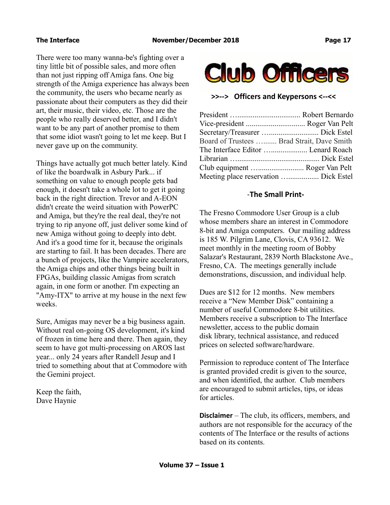There were too many wanna-be's fighting over a tiny little bit of possible sales, and more often than not just ripping off Amiga fans. One big strength of the Amiga experience has always been the community, the users who became nearly as passionate about their computers as they did their art, their music, their video, etc. Those are the people who really deserved better, and I didn't want to be any part of another promise to them that some idiot wasn't going to let me keep. But I never gave up on the community.

Things have actually got much better lately. Kind of like the boardwalk in Asbury Park... if something on value to enough people gets bad enough, it doesn't take a whole lot to get it going back in the right direction. Trevor and A-EON didn't create the weird situation with PowerPC and Amiga, but they're the real deal, they're not trying to rip anyone off, just deliver some kind of new Amiga without going to deeply into debt. And it's a good time for it, because the originals are starting to fail. It has been decades. There are a bunch of projects, like the Vampire accelerators, the Amiga chips and other things being built in FPGAs, building classic Amigas from scratch again, in one form or another. I'm expecting an "Amy-ITX" to arrive at my house in the next few weeks.

Sure, Amigas may never be a big business again. Without real on-going OS development, it's kind of frozen in time here and there. Then again, they seem to have got multi-processing on AROS last year... only 24 years after Randell Jesup and I tried to something about that at Commodore with the Gemini project.

Keep the faith, Dave Haynie



**>>--> Officers and Keypersons <--<<**

| Board of Trustees  Brad Strait, Dave Smith |                                       |
|--------------------------------------------|---------------------------------------|
|                                            |                                       |
|                                            |                                       |
|                                            | Club equipment  Roger Van Pelt        |
|                                            | Meeting place reservation  Dick Estel |

# -**The Small Print-**

The Fresno Commodore User Group is a club whose members share an interest in Commodore 8-bit and Amiga computers. Our mailing address is 185 W. Pilgrim Lane, Clovis, CA 93612. We meet monthly in the meeting room of Bobby Salazar's Restaurant, 2839 North Blackstone Ave., Fresno, CA. The meetings generally include demonstrations, discussion, and individual help.

Dues are \$12 for 12 months. New members receive a "New Member Disk" containing a number of useful Commodore 8-bit utilities. Members receive a subscription to The Interface newsletter, access to the public domain disk library, technical assistance, and reduced prices on selected software/hardware.

Permission to reproduce content of The Interface is granted provided credit is given to the source, and when identified, the author. Club members are encouraged to submit articles, tips, or ideas for articles.

**Disclaimer** – The club, its officers, members, and authors are not responsible for the accuracy of the contents of The Interface or the results of actions based on its contents.